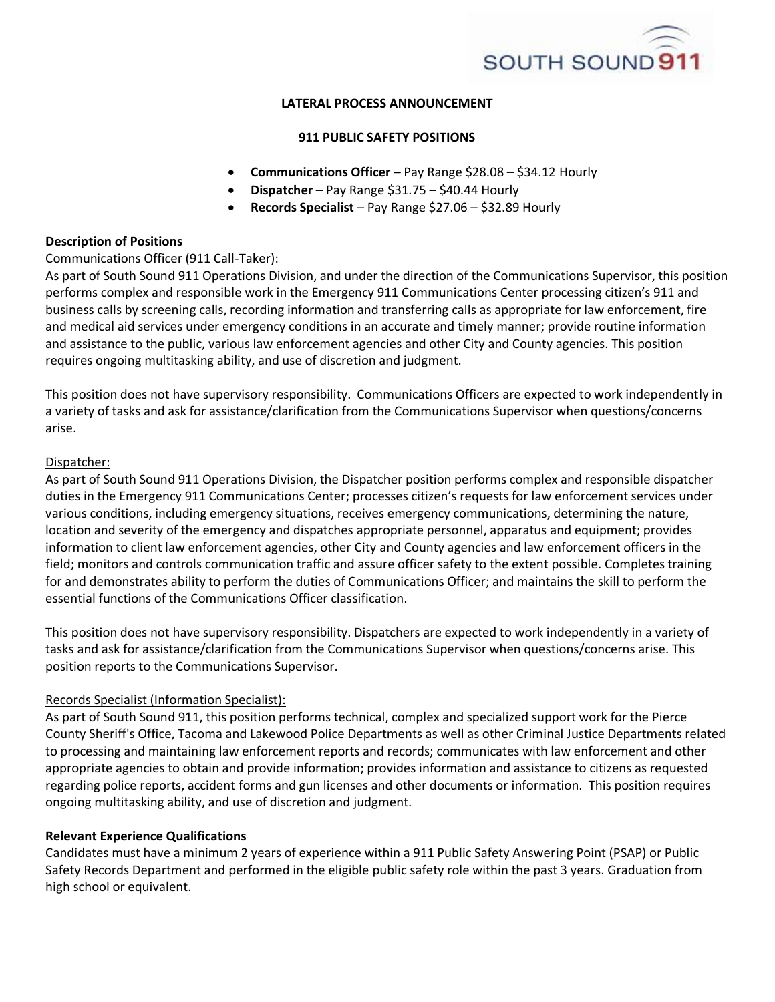

# **LATERAL PROCESS ANNOUNCEMENT**

## **911 PUBLIC SAFETY POSITIONS**

- **Communications Officer –** Pay Range \$28.08 \$34.12 Hourly
- **Dispatcher** Pay Range \$31.75 \$40.44 Hourly
- **Records Specialist** Pay Range \$27.06 \$32.89 Hourly

### **Description of Positions**

## Communications Officer (911 Call-Taker):

As part of South Sound 911 Operations Division, and under the direction of the Communications Supervisor, this position performs complex and responsible work in the Emergency 911 Communications Center processing citizen's 911 and business calls by screening calls, recording information and transferring calls as appropriate for law enforcement, fire and medical aid services under emergency conditions in an accurate and timely manner; provide routine information and assistance to the public, various law enforcement agencies and other City and County agencies. This position requires ongoing multitasking ability, and use of discretion and judgment.

This position does not have supervisory responsibility. Communications Officers are expected to work independently in a variety of tasks and ask for assistance/clarification from the Communications Supervisor when questions/concerns arise.

### Dispatcher:

As part of South Sound 911 Operations Division, the Dispatcher position performs complex and responsible dispatcher duties in the Emergency 911 Communications Center; processes citizen's requests for law enforcement services under various conditions, including emergency situations, receives emergency communications, determining the nature, location and severity of the emergency and dispatches appropriate personnel, apparatus and equipment; provides information to client law enforcement agencies, other City and County agencies and law enforcement officers in the field; monitors and controls communication traffic and assure officer safety to the extent possible. Completes training for and demonstrates ability to perform the duties of Communications Officer; and maintains the skill to perform the essential functions of the Communications Officer classification.

This position does not have supervisory responsibility. Dispatchers are expected to work independently in a variety of tasks and ask for assistance/clarification from the Communications Supervisor when questions/concerns arise. This position reports to the Communications Supervisor.

#### Records Specialist (Information Specialist):

As part of South Sound 911, this position performs technical, complex and specialized support work for the Pierce County Sheriff's Office, Tacoma and Lakewood Police Departments as well as other Criminal Justice Departments related to processing and maintaining law enforcement reports and records; communicates with law enforcement and other appropriate agencies to obtain and provide information; provides information and assistance to citizens as requested regarding police reports, accident forms and gun licenses and other documents or information. This position requires ongoing multitasking ability, and use of discretion and judgment.

#### **Relevant Experience Qualifications**

Candidates must have a minimum 2 years of experience within a 911 Public Safety Answering Point (PSAP) or Public Safety Records Department and performed in the eligible public safety role within the past 3 years. Graduation from high school or equivalent.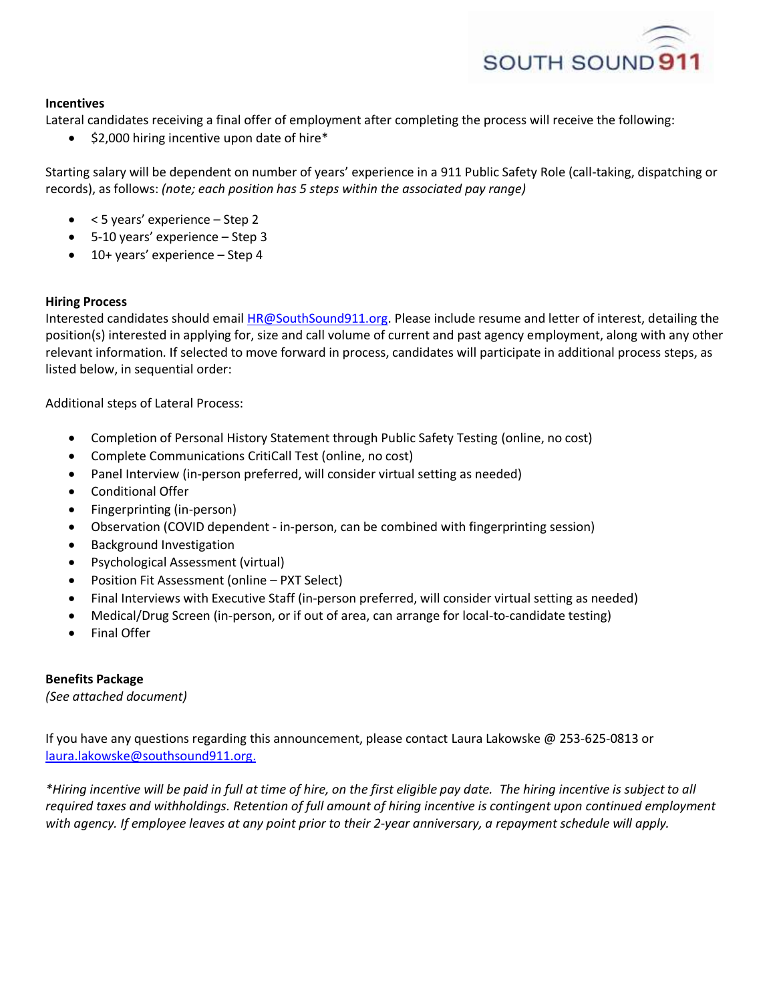

# **Incentives**

Lateral candidates receiving a final offer of employment after completing the process will receive the following:

\$2,000 hiring incentive upon date of hire\*

Starting salary will be dependent on number of years' experience in a 911 Public Safety Role (call-taking, dispatching or records), as follows: *(note; each position has 5 steps within the associated pay range)*

- $\bullet$  < 5 years' experience Step 2
- 5-10 years' experience Step 3
- 10+ years' experience Step 4

## **Hiring Process**

Interested candidates should email [HR@SouthSound911.org.](mailto:HR@SouthSound911.org) Please include resume and letter of interest, detailing the position(s) interested in applying for, size and call volume of current and past agency employment, along with any other relevant information. If selected to move forward in process, candidates will participate in additional process steps, as listed below, in sequential order:

Additional steps of Lateral Process:

- Completion of Personal History Statement through Public Safety Testing (online, no cost)
- Complete Communications CritiCall Test (online, no cost)
- Panel Interview (in-person preferred, will consider virtual setting as needed)
- Conditional Offer
- Fingerprinting (in-person)
- Observation (COVID dependent in-person, can be combined with fingerprinting session)
- Background Investigation
- Psychological Assessment (virtual)
- Position Fit Assessment (online PXT Select)
- Final Interviews with Executive Staff (in-person preferred, will consider virtual setting as needed)
- Medical/Drug Screen (in-person, or if out of area, can arrange for local-to-candidate testing)
- Final Offer

## **Benefits Package**

*(See attached document)*

If you have any questions regarding this announcement, please contact Laura Lakowske @ 253-625-0813 or [laura.lakowske@southsound911.org.](mailto:laura.lakowske@southsound911.org)

*\*Hiring incentive will be paid in full at time of hire, on the first eligible pay date. The hiring incentive is subject to all required taxes and withholdings. Retention of full amount of hiring incentive is contingent upon continued employment with agency. If employee leaves at any point prior to their 2-year anniversary, a repayment schedule will apply.*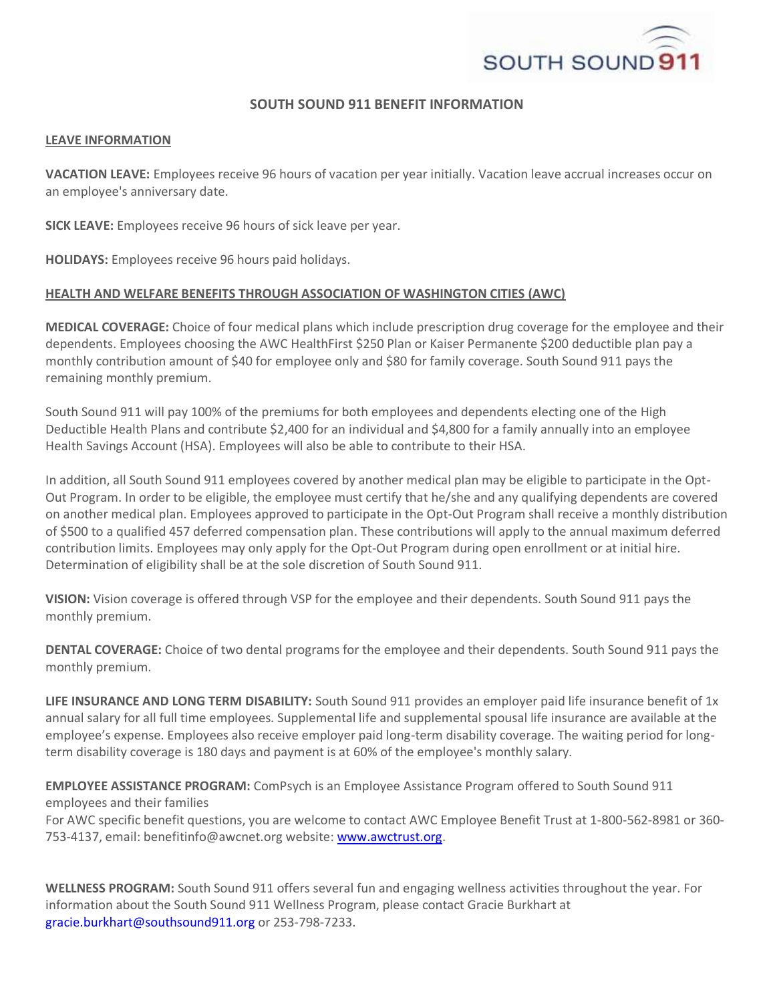

# **SOUTH SOUND 911 BENEFIT INFORMATION**

#### **LEAVE INFORMATION**

**VACATION LEAVE:** Employees receive 96 hours of vacation per year initially. Vacation leave accrual increases occur on an employee's anniversary date.

**SICK LEAVE:** Employees receive 96 hours of sick leave per year.

**HOLIDAYS:** Employees receive 96 hours paid holidays.

### **HEALTH AND WELFARE BENEFITS THROUGH ASSOCIATION OF WASHINGTON CITIES (AWC)**

**MEDICAL COVERAGE:** Choice of four medical plans which include prescription drug coverage for the employee and their dependents. Employees choosing the AWC HealthFirst \$250 Plan or Kaiser Permanente \$200 deductible plan pay a monthly contribution amount of \$40 for employee only and \$80 for family coverage. South Sound 911 pays the remaining monthly premium.

South Sound 911 will pay 100% of the premiums for both employees and dependents electing one of the High Deductible Health Plans and contribute \$2,400 for an individual and \$4,800 for a family annually into an employee Health Savings Account (HSA). Employees will also be able to contribute to their HSA.

In addition, all South Sound 911 employees covered by another medical plan may be eligible to participate in the Opt-Out Program. In order to be eligible, the employee must certify that he/she and any qualifying dependents are covered on another medical plan. Employees approved to participate in the Opt-Out Program shall receive a monthly distribution of \$500 to a qualified 457 deferred compensation plan. These contributions will apply to the annual maximum deferred contribution limits. Employees may only apply for the Opt-Out Program during open enrollment or at initial hire. Determination of eligibility shall be at the sole discretion of South Sound 911.

**VISION:** Vision coverage is offered through VSP for the employee and their dependents. South Sound 911 pays the monthly premium.

**DENTAL COVERAGE:** Choice of two dental programs for the employee and their dependents. South Sound 911 pays the monthly premium.

**LIFE INSURANCE AND LONG TERM DISABILITY:** South Sound 911 provides an employer paid life insurance benefit of 1x annual salary for all full time employees. Supplemental life and supplemental spousal life insurance are available at the employee's expense. Employees also receive employer paid long-term disability coverage. The waiting period for longterm disability coverage is 180 days and payment is at 60% of the employee's monthly salary.

**EMPLOYEE ASSISTANCE PROGRAM:** ComPsych is an Employee Assistance Program offered to South Sound 911 employees and their families

For AWC specific benefit questions, you are welcome to contact AWC Employee Benefit Trust at 1-800-562-8981 or 360 753-4137, email: benefitinfo@awcnet.org website: [www.awctrust.org.](http://www.awctrust.org/)

**WELLNESS PROGRAM:** South Sound 911 offers several fun and engaging wellness activities throughout the year. For information about the South Sound 911 Wellness Program, please contact Gracie Burkhart at gracie.burkhart@southsound911.org or 253-798-7233.